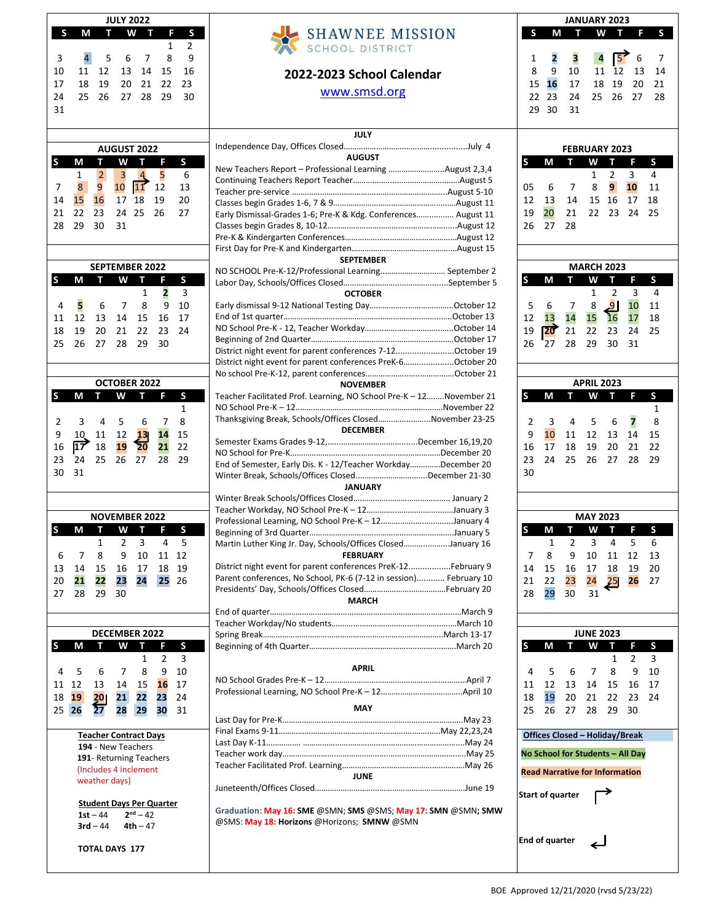| <b>JULY 2022</b><br>F S<br>S<br>W T<br>т<br>Μ                                                                           |                           |                                       |                                                 |                                          |                                  |                              |  |
|-------------------------------------------------------------------------------------------------------------------------|---------------------------|---------------------------------------|-------------------------------------------------|------------------------------------------|----------------------------------|------------------------------|--|
| 3<br>10<br>17<br>24<br>31                                                                                               | 4<br>11<br>18<br>25       | 5<br>12<br>19<br>26                   | 6<br>13<br>20<br>27                             | $\overline{7}$<br>14<br>21<br>28         | 1<br>8<br>15<br>22<br>29         | 2<br>9<br>16<br>23<br>30     |  |
|                                                                                                                         |                           |                                       |                                                 |                                          |                                  |                              |  |
| S                                                                                                                       | М                         | Т                                     | <b>AUGUST 2022</b><br>W                         | т                                        | - F                              | S                            |  |
| 7<br>14<br>21<br>28                                                                                                     | 1<br>8<br>15<br>22<br>29  | $\overline{2}$<br>9<br>16<br>23<br>30 | $\overline{\mathbf{3}}$<br>10<br>17<br>24<br>31 | $\overline{4}$<br><u> 11</u><br>18<br>25 | 5<br>12<br>19<br>26              | - 6<br>13<br>20<br>27        |  |
| <b>SEPTEMBER 2022</b>                                                                                                   |                           |                                       |                                                 |                                          |                                  |                              |  |
| S                                                                                                                       | М                         | т                                     | W                                               | T.                                       | F.                               | S                            |  |
| $\overline{4}$<br>11<br>18<br>25                                                                                        | 5<br>12<br>19<br>26       | 6<br>13<br>20<br>27                   | $\overline{7}$<br>14<br>21<br>28                | 1<br>8<br>15<br>22<br>29                 | 2<br>9<br>16<br>23<br>30         | 3<br>10<br>17<br>24          |  |
|                                                                                                                         |                           |                                       | <b>OCTOBER 2022</b>                             |                                          |                                  |                              |  |
| S                                                                                                                       | М                         | т.                                    | W                                               | т                                        | F                                | S                            |  |
| 2<br>9<br>16<br>23<br>30                                                                                                | 3<br>10<br>17<br>24<br>31 | 4<br>11 12<br>18<br>25                | - 5<br>19<br>26                                 | 6<br>13<br>20<br>27                      | $\overline{7}$<br>14<br>21<br>28 | 1<br>8<br>15<br>22<br>29     |  |
|                                                                                                                         |                           |                                       | <b>NOVEMBER 2022</b>                            |                                          |                                  |                              |  |
| S                                                                                                                       | М                         | т                                     | W                                               | т.                                       | F.                               | S                            |  |
| 6<br>13<br>20<br>27                                                                                                     | 7<br>14<br>21<br>28       | 1<br>8<br>15<br>22<br>29              | 2<br>9<br>16<br>23<br>30                        | 3<br>10<br>17<br>24                      | 4<br>11<br>18<br>25              | 5<br>12<br>19<br>26          |  |
| <b>DECEMBER 2022</b>                                                                                                    |                           |                                       |                                                 |                                          |                                  |                              |  |
| S                                                                                                                       | М                         | т                                     | W                                               | T                                        | F                                | S<br>$\overline{\mathbf{3}}$ |  |
| 4<br>11<br>18<br>25                                                                                                     | 5<br>12<br>19<br>26       | 6<br>13<br>20 <sub>l</sub><br>27      | 7<br>14<br>21<br>28                             | 1<br>8<br>15<br>22<br>29                 | 2<br>9<br>16<br>23<br>30         | 10<br>17<br>24<br>31         |  |
| <b>Teacher Contract Days</b><br>194 - New Teachers<br>191- Returning Teachers<br>(Includes 4 inclement<br>weather days) |                           |                                       |                                                 |                                          |                                  |                              |  |
| <b>Student Days Per Quarter</b><br>$2nd - 42$<br>$1st - 44$<br>$3rd - 44$<br>$4th - 47$<br><b>TOTAL DAYS 177</b>        |                           |                                       |                                                 |                                          |                                  |                              |  |

# **SHAWNEE MISSION SCHOOL DISTRICT 2022-2023 School Calendar** [www.smsd.org](http://www.smsd.org/)

#### **JULY**  Independence Day, Offices Closed……………………….…………................July 4 **AUGUST** New Teachers Report – Professional Learning ……………………..August 2,3,4 Continuing Teachers Report Teacher……….……....………………….…….August 5 Teacher pre-service .………………….………….……………………………...August 5-10 Classes begin Grades 1-6, 7 & 9………………………………………….….….August 11 Early Dismissal-Grades 1-6; Pre-K & Kdg. Conferences……..…..…. August 11 Classes begin Grades 8, 10-12………………………………………….…….....August 12 Pre-K & Kindergarten Conferences…………………………………….………August 12 First Day for Pre-K and Kindergarten……………………………………….…August 15 **SEPTEMBER** NO SCHOOL Pre-K-12/Professional Learning..…………………….… September 2 Labor Day, Schools/Offices Closed……………………..…………….......September 5 **OCTOBER** Early dismissal 9-12 National Testing Day………………………………...October 12 End of 1st quarter……………………………………………………….….…..…..October 13 NO School Pre-K - 12, Teacher Workday……………………………..…...October 14 Beginning of 2nd Quarter…….…………………………………….….……..….October 17 District night event for parent conferences 7-12.........................October 19 District night event for parent conferences PreK-6……................October 20 No school Pre-K-12, parent conferences………………..…..…………….October 21 **NOVEMBER** Teacher Facilitated Prof. Learning, NO School Pre-K – 12….….November 21 NO School Pre-K – 12..……………….……..……………………….….….…November 22 Thanksgiving Break, Schools/Offices Closed…….……..……...November 23-25 **DECEMBER** Semester Exams Grades 9-12,.…..…………………….….......December 16,19,20 NO School for Pre-K………………………………………….…………………December 20 End of Semester, Early Dis. K - 12/Teacher Workday….….……December 20 Winter Break, Schools/Offices Closed..…………………….…...December 21-30 **JANUARY** Winter Break Schools/Offices Closed….………………………………….. January 2 Teacher Workday, NO School Pre-K – 12…………..…………………..…January 3 Professional Learning, NO School Pre-K – 12…………….….…..….....January 4 Beginning of 3rd Quarter……………………………………………….…..…….January 5 Martin Luther King Jr. Day, Schools/Offices Closed………...……...January 16 **FEBRUARY** District night event for parent conferences PreK-12..................February 9 Parent conferences, No School, PK-6 (7-12 in session)............ February 10 Presidents' Day, Schools/Offices Closed………………….…………….February 20 **MARCH** End of quarter…………………………………………………………………………..…March 9 Teacher Workday/No students…….…………………….…………………..…March 10 Spring Break………………………………………………………….……………..March 13-17 Beginning of 4th Quarter……………………………………….…..……….…….March 20 **APRIL** NO School Grades Pre-K – 12……………………………….………….….…………April 7 Professional Learning, NO School Pre-K – 12………………………………..April 10 **MAY** Last Day for Pre-K……………………………………………………….………………..May 23 Final Exams 9-11……………………………………….………….….…….…..May 22,23,24

Last Day K-11……………. ………………………….………………….………………....May 24 Teacher work day…………………….……………….…..……………………….……..May 25 Teacher Facilitated Prof. Learning………………………………………..……….May 26 **JUNE** Juneteenth/Offices Closed…………………………………………………………….June 19 **Graduation**: **May 16: SME** @SMN; **SMS** @SMS; **May 17: SMN** @SMN**; SMW** @SMS: **May 18: Horizons** @Horizons; **SMNW** @SMN

| S                                                                | М                                     | Т                                    | JANUARY 2023<br>W                    | т                               | F                         | S                                |
|------------------------------------------------------------------|---------------------------------------|--------------------------------------|--------------------------------------|---------------------------------|---------------------------|----------------------------------|
| 1<br>8<br>15<br>22<br>29                                         | 2<br>9<br>16<br>23<br>30              | 3<br>10<br>17<br>24<br>31            | $\overline{4}$<br>11<br>18<br>$25 -$ | $\sqrt{5}$<br>12<br>19<br>26    | 6<br>13<br>20<br>27       | 7<br>14<br>21<br>28              |
| <b>FEBRUARY 2023</b><br>${\sf S}$<br>S<br>W<br>$T = F$<br>М<br>т |                                       |                                      |                                      |                                 |                           |                                  |
| 05<br>12<br>19<br>26                                             | - 6<br>13<br>20<br>27                 | 7<br>14<br>21<br>28                  | 1<br>8<br>15<br>22                   | $\overline{2}$<br>9<br>16<br>23 | 3<br>10<br>17<br>24       | $\overline{4}$<br>11<br>18<br>25 |
|                                                                  |                                       |                                      | <b>MARCH 2023</b>                    |                                 |                           |                                  |
| S                                                                | М                                     | п                                    | W                                    | T F                             |                           | S                                |
| 5<br>12<br>19<br>26                                              | 6<br>13<br>20<br>27                   | 7<br>14<br>21<br>28                  | 1<br>8<br>15<br>22<br>29             | 2<br>ا 9<br>16<br>23<br>30      | 3<br>10<br>17<br>24<br>31 | $\overline{4}$<br>11<br>18<br>25 |
|                                                                  |                                       |                                      | <b>APRIL 2023</b>                    |                                 |                           |                                  |
| S                                                                | Μ                                     | т                                    | w                                    | Т                               | F                         | S                                |
| 2<br>9<br>16<br>23<br>30                                         | 3<br>10<br>17<br>24                   | $\overline{4}$<br>11<br>18<br>$25 -$ | 5<br>12<br>19<br>26                  | 6<br>13<br>20<br>27             | 7<br>14<br>21<br>28       | 1<br>8<br>15<br>22<br>29         |
|                                                                  |                                       |                                      |                                      |                                 |                           |                                  |
| S                                                                | M                                     | Τ                                    | <b>MAY 2023</b><br>W                 | Τ                               | F                         | S                                |
| 7<br>14<br>21<br>28                                              | 1<br>8<br>15<br>22<br>29              | 2<br>9<br>16<br>23<br>30             | 3<br>10<br>17<br>24<br>31            | 4<br>11<br>18<br>25             | 5<br>12<br>19<br>26       | 6<br>13<br>20<br>27              |
|                                                                  |                                       |                                      | <b>JUNE 2023</b>                     |                                 |                           |                                  |
| S                                                                | Μ                                     |                                      | W                                    | T.<br>1                         | F.<br>2                   | S<br>3                           |
| 4<br>11<br>18<br>25                                              | 5<br>12<br>19<br>26                   | 6<br>13<br>20<br>27                  | 7<br>14<br>21<br>28                  | 8<br>15<br>22<br>29             | 9<br>16<br>23<br>30       | 10<br>17<br>24                   |
|                                                                  | <b>Offices Closed - Holiday/Break</b> |                                      |                                      |                                 |                           |                                  |
|                                                                  | No School for Students - All Day      |                                      |                                      |                                 |                           |                                  |
|                                                                  | <b>Read Narrative for Information</b> |                                      |                                      |                                 |                           |                                  |
|                                                                  | <b>Start of quarter</b>               |                                      |                                      |                                 |                           |                                  |
|                                                                  |                                       |                                      |                                      |                                 |                           |                                  |